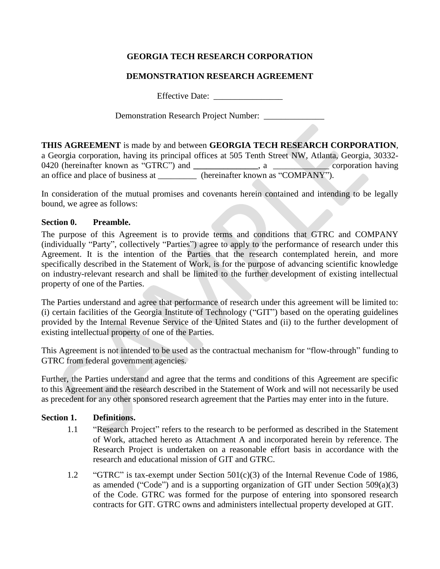# **GEORGIA TECH RESEARCH CORPORATION**

### **DEMONSTRATION RESEARCH AGREEMENT**

Effective Date: \_\_\_\_\_\_\_\_\_\_\_\_\_\_\_\_

Demonstration Research Project Number: \_\_\_\_\_\_\_\_\_\_\_\_\_\_

**THIS AGREEMENT** is made by and between **GEORGIA TECH RESEARCH CORPORATION**, a Georgia corporation, having its principal offices at 505 Tenth Street NW, Atlanta, Georgia, 30332- 0420 (hereinafter known as "GTRC") and \_\_\_\_\_\_\_\_\_\_\_, a \_\_\_\_\_\_\_\_\_\_, corporation having an office and place of business at  $\qquad \qquad$  (hereinafter known as "COMPANY").

In consideration of the mutual promises and covenants herein contained and intending to be legally bound, we agree as follows:

### **Section 0. Preamble.**

The purpose of this Agreement is to provide terms and conditions that GTRC and COMPANY (individually "Party", collectively "Parties") agree to apply to the performance of research under this Agreement. It is the intention of the Parties that the research contemplated herein, and more specifically described in the Statement of Work, is for the purpose of advancing scientific knowledge on industry-relevant research and shall be limited to the further development of existing intellectual property of one of the Parties.

The Parties understand and agree that performance of research under this agreement will be limited to: (i) certain facilities of the Georgia Institute of Technology ("GIT") based on the operating guidelines provided by the Internal Revenue Service of the United States and (ii) to the further development of existing intellectual property of one of the Parties.

This Agreement is not intended to be used as the contractual mechanism for "flow-through" funding to GTRC from federal government agencies.

Further, the Parties understand and agree that the terms and conditions of this Agreement are specific to this Agreement and the research described in the Statement of Work and will not necessarily be used as precedent for any other sponsored research agreement that the Parties may enter into in the future.

### **Section 1. Definitions.**

- 1.1 "Research Project" refers to the research to be performed as described in the Statement of Work, attached hereto as Attachment A and incorporated herein by reference. The Research Project is undertaken on a reasonable effort basis in accordance with the research and educational mission of GIT and GTRC.
- 1.2 "GTRC" is tax-exempt under Section 501(c)(3) of the Internal Revenue Code of 1986, as amended ("Code") and is a supporting organization of GIT under Section 509(a)(3) of the Code. GTRC was formed for the purpose of entering into sponsored research contracts for GIT. GTRC owns and administers intellectual property developed at GIT.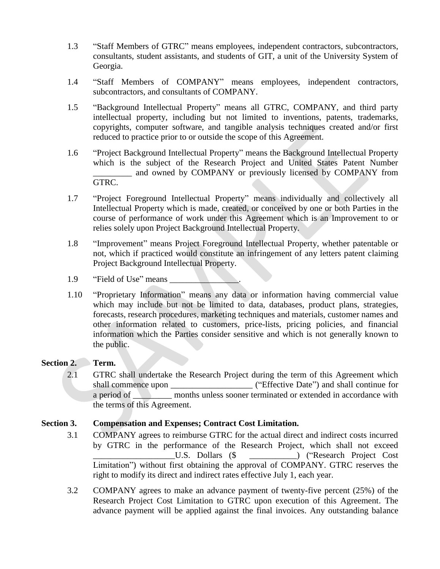- 1.3 "Staff Members of GTRC" means employees, independent contractors, subcontractors, consultants, student assistants, and students of GIT, a unit of the University System of Georgia.
- 1.4 "Staff Members of COMPANY" means employees, independent contractors, subcontractors, and consultants of COMPANY.
- 1.5 "Background Intellectual Property" means all GTRC, COMPANY, and third party intellectual property, including but not limited to inventions, patents, trademarks, copyrights, computer software, and tangible analysis techniques created and/or first reduced to practice prior to or outside the scope of this Agreement.
- 1.6 "Project Background Intellectual Property" means the Background Intellectual Property which is the subject of the Research Project and United States Patent Number \_\_\_\_\_\_\_\_\_ and owned by COMPANY or previously licensed by COMPANY from GTRC.
- 1.7 "Project Foreground Intellectual Property" means individually and collectively all Intellectual Property which is made, created, or conceived by one or both Parties in the course of performance of work under this Agreement which is an Improvement to or relies solely upon Project Background Intellectual Property.
- 1.8 "Improvement" means Project Foreground Intellectual Property, whether patentable or not, which if practiced would constitute an infringement of any letters patent claiming Project Background Intellectual Property.
- 1.9 "Field of Use" means
- 1.10 "Proprietary Information" means any data or information having commercial value which may include but not be limited to data, databases, product plans, strategies, forecasts, research procedures, marketing techniques and materials, customer names and other information related to customers, price-lists, pricing policies, and financial information which the Parties consider sensitive and which is not generally known to the public.

### **Section 2. Term.**

2.1 GTRC shall undertake the Research Project during the term of this Agreement which shall commence upon  $($ "Effective Date") and shall continue for a period of months unless sooner terminated or extended in accordance with the terms of this Agreement.

### **Section 3. Compensation and Expenses; Contract Cost Limitation.**

- 3.1 COMPANY agrees to reimburse GTRC for the actual direct and indirect costs incurred by GTRC in the performance of the Research Project, which shall not exceed U.S. Dollars (\$  $\hspace{1cm}$  ) ("Research Project Cost") Limitation") without first obtaining the approval of COMPANY. GTRC reserves the right to modify its direct and indirect rates effective July 1, each year.
- 3.2 COMPANY agrees to make an advance payment of twenty-five percent (25%) of the Research Project Cost Limitation to GTRC upon execution of this Agreement. The advance payment will be applied against the final invoices. Any outstanding balance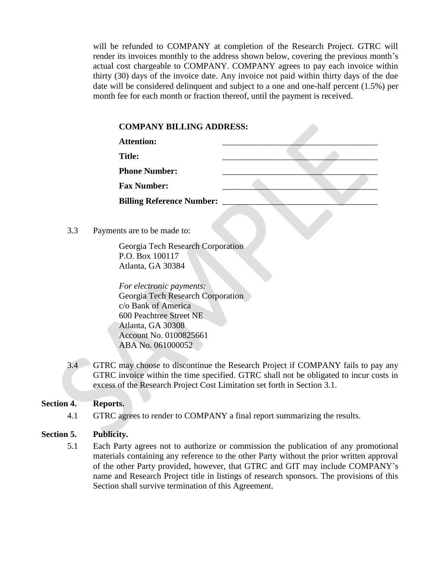will be refunded to COMPANY at completion of the Research Project. GTRC will render its invoices monthly to the address shown below, covering the previous month's actual cost chargeable to COMPANY. COMPANY agrees to pay each invoice within thirty (30) days of the invoice date. Any invoice not paid within thirty days of the due date will be considered delinquent and subject to a one and one-half percent (1.5%) per month fee for each month or fraction thereof, until the payment is received.

|     | <b>Attention:</b>                 |  |  |  |
|-----|-----------------------------------|--|--|--|
|     | <b>Title:</b>                     |  |  |  |
|     | <b>Phone Number:</b>              |  |  |  |
|     | <b>Fax Number:</b>                |  |  |  |
|     | <b>Billing Reference Number:</b>  |  |  |  |
|     |                                   |  |  |  |
| 3.3 | Payments are to be made to:       |  |  |  |
|     | Georgia Tech Research Corporation |  |  |  |

Georgia Tech Research P.O. Box 100117 Atlanta, GA 30384

*For electronic payments:* Georgia Tech Research Corporation c/o Bank of America 600 Peachtree Street NE Atlanta, GA 30308 Account No. 0100825661 ABA No. 061000052

3.4 GTRC may choose to discontinue the Research Project if COMPANY fails to pay any GTRC invoice within the time specified. GTRC shall not be obligated to incur costs in excess of the Research Project Cost Limitation set forth in Section 3.1.

# **Section 4. Reports.**

4.1 GTRC agrees to render to COMPANY a final report summarizing the results.

# **Section 5. Publicity.**

5.1 Each Party agrees not to authorize or commission the publication of any promotional materials containing any reference to the other Party without the prior written approval of the other Party provided, however, that GTRC and GIT may include COMPANY's name and Research Project title in listings of research sponsors. The provisions of this Section shall survive termination of this Agreement.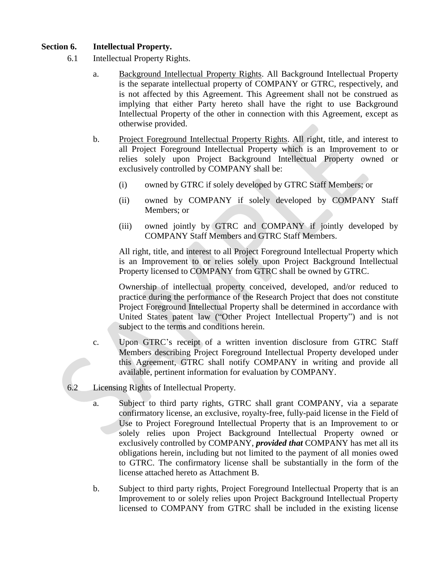### **Section 6. Intellectual Property.**

- 6.1 Intellectual Property Rights.
	- a. Background Intellectual Property Rights. All Background Intellectual Property is the separate intellectual property of COMPANY or GTRC, respectively, and is not affected by this Agreement. This Agreement shall not be construed as implying that either Party hereto shall have the right to use Background Intellectual Property of the other in connection with this Agreement, except as otherwise provided.
	- b. Project Foreground Intellectual Property Rights. All right, title, and interest to all Project Foreground Intellectual Property which is an Improvement to or relies solely upon Project Background Intellectual Property owned or exclusively controlled by COMPANY shall be:
		- (i) owned by GTRC if solely developed by GTRC Staff Members; or
		- (ii) owned by COMPANY if solely developed by COMPANY Staff Members; or
		- (iii) owned jointly by GTRC and COMPANY if jointly developed by COMPANY Staff Members and GTRC Staff Members.

All right, title, and interest to all Project Foreground Intellectual Property which is an Improvement to or relies solely upon Project Background Intellectual Property licensed to COMPANY from GTRC shall be owned by GTRC.

Ownership of intellectual property conceived, developed, and/or reduced to practice during the performance of the Research Project that does not constitute Project Foreground Intellectual Property shall be determined in accordance with United States patent law ("Other Project Intellectual Property") and is not subject to the terms and conditions herein.

- c. Upon GTRC's receipt of a written invention disclosure from GTRC Staff Members describing Project Foreground Intellectual Property developed under this Agreement, GTRC shall notify COMPANY in writing and provide all available, pertinent information for evaluation by COMPANY.
- 6.2 Licensing Rights of Intellectual Property.
	- a. Subject to third party rights, GTRC shall grant COMPANY, via a separate confirmatory license, an exclusive, royalty-free, fully-paid license in the Field of Use to Project Foreground Intellectual Property that is an Improvement to or solely relies upon Project Background Intellectual Property owned or exclusively controlled by COMPANY, *provided that* COMPANY has met all its obligations herein, including but not limited to the payment of all monies owed to GTRC. The confirmatory license shall be substantially in the form of the license attached hereto as Attachment B.
	- b. Subject to third party rights, Project Foreground Intellectual Property that is an Improvement to or solely relies upon Project Background Intellectual Property licensed to COMPANY from GTRC shall be included in the existing license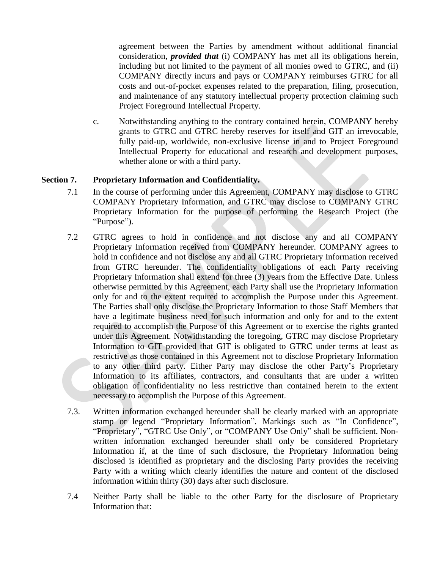agreement between the Parties by amendment without additional financial consideration, *provided that* (i) COMPANY has met all its obligations herein, including but not limited to the payment of all monies owed to GTRC, and (ii) COMPANY directly incurs and pays or COMPANY reimburses GTRC for all costs and out-of-pocket expenses related to the preparation, filing, prosecution, and maintenance of any statutory intellectual property protection claiming such Project Foreground Intellectual Property.

c. Notwithstanding anything to the contrary contained herein, COMPANY hereby grants to GTRC and GTRC hereby reserves for itself and GIT an irrevocable, fully paid-up, worldwide, non-exclusive license in and to Project Foreground Intellectual Property for educational and research and development purposes, whether alone or with a third party.

# **Section 7. Proprietary Information and Confidentiality.**

- 7.1 In the course of performing under this Agreement, COMPANY may disclose to GTRC COMPANY Proprietary Information, and GTRC may disclose to COMPANY GTRC Proprietary Information for the purpose of performing the Research Project (the "Purpose").
- 7.2 GTRC agrees to hold in confidence and not disclose any and all COMPANY Proprietary Information received from COMPANY hereunder. COMPANY agrees to hold in confidence and not disclose any and all GTRC Proprietary Information received from GTRC hereunder. The confidentiality obligations of each Party receiving Proprietary Information shall extend for three (3) years from the Effective Date. Unless otherwise permitted by this Agreement, each Party shall use the Proprietary Information only for and to the extent required to accomplish the Purpose under this Agreement. The Parties shall only disclose the Proprietary Information to those Staff Members that have a legitimate business need for such information and only for and to the extent required to accomplish the Purpose of this Agreement or to exercise the rights granted under this Agreement. Notwithstanding the foregoing, GTRC may disclose Proprietary Information to GIT provided that GIT is obligated to GTRC under terms at least as restrictive as those contained in this Agreement not to disclose Proprietary Information to any other third party. Either Party may disclose the other Party's Proprietary Information to its affiliates, contractors, and consultants that are under a written obligation of confidentiality no less restrictive than contained herein to the extent necessary to accomplish the Purpose of this Agreement.
- 7.3. Written information exchanged hereunder shall be clearly marked with an appropriate stamp or legend "Proprietary Information". Markings such as "In Confidence", "Proprietary", "GTRC Use Only", or "COMPANY Use Only" shall be sufficient. Nonwritten information exchanged hereunder shall only be considered Proprietary Information if, at the time of such disclosure, the Proprietary Information being disclosed is identified as proprietary and the disclosing Party provides the receiving Party with a writing which clearly identifies the nature and content of the disclosed information within thirty (30) days after such disclosure.
- 7.4 Neither Party shall be liable to the other Party for the disclosure of Proprietary Information that: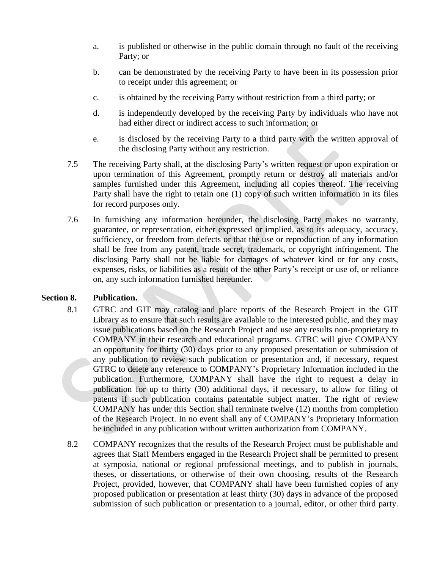- a. is published or otherwise in the public domain through no fault of the receiving Party; or
- b. can be demonstrated by the receiving Party to have been in its possession prior to receipt under this agreement; or
- c. is obtained by the receiving Party without restriction from a third party; or
- d. is independently developed by the receiving Party by individuals who have not had either direct or indirect access to such information; or
- e. is disclosed by the receiving Party to a third party with the written approval of the disclosing Party without any restriction.
- 7.5 The receiving Party shall, at the disclosing Party's written request or upon expiration or upon termination of this Agreement, promptly return or destroy all materials and/or samples furnished under this Agreement, including all copies thereof. The receiving Party shall have the right to retain one (1) copy of such written information in its files for record purposes only.
- 7.6 In furnishing any information hereunder, the disclosing Party makes no warranty, guarantee, or representation, either expressed or implied, as to its adequacy, accuracy, sufficiency, or freedom from defects or that the use or reproduction of any information shall be free from any patent, trade secret, trademark, or copyright infringement. The disclosing Party shall not be liable for damages of whatever kind or for any costs, expenses, risks, or liabilities as a result of the other Party's receipt or use of, or reliance on, any such information furnished hereunder.

# **Section 8. Publication.**

- 8.1 GTRC and GIT may catalog and place reports of the Research Project in the GIT Library as to ensure that such results are available to the interested public, and they may issue publications based on the Research Project and use any results non-proprietary to COMPANY in their research and educational programs. GTRC will give COMPANY an opportunity for thirty (30) days prior to any proposed presentation or submission of any publication to review such publication or presentation and, if necessary, request GTRC to delete any reference to COMPANY's Proprietary Information included in the publication. Furthermore, COMPANY shall have the right to request a delay in publication for up to thirty (30) additional days, if necessary, to allow for filing of patents if such publication contains patentable subject matter. The right of review COMPANY has under this Section shall terminate twelve (12) months from completion of the Research Project. In no event shall any of COMPANY's Proprietary Information be included in any publication without written authorization from COMPANY.
- 8.2 COMPANY recognizes that the results of the Research Project must be publishable and agrees that Staff Members engaged in the Research Project shall be permitted to present at symposia, national or regional professional meetings, and to publish in journals, theses, or dissertations, or otherwise of their own choosing, results of the Research Project, provided, however, that COMPANY shall have been furnished copies of any proposed publication or presentation at least thirty (30) days in advance of the proposed submission of such publication or presentation to a journal, editor, or other third party.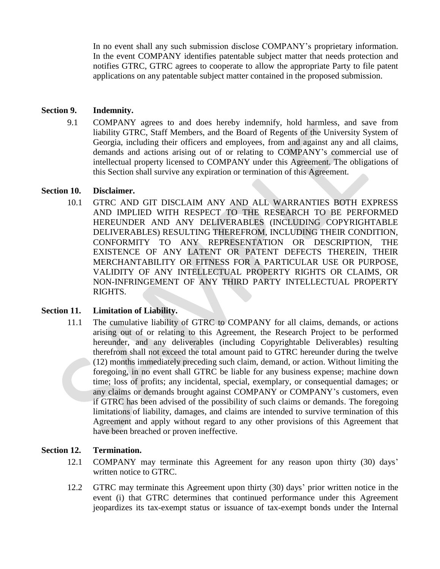In no event shall any such submission disclose COMPANY's proprietary information. In the event COMPANY identifies patentable subject matter that needs protection and notifies GTRC, GTRC agrees to cooperate to allow the appropriate Party to file patent applications on any patentable subject matter contained in the proposed submission.

### **Section 9. Indemnity.**

9.1 COMPANY agrees to and does hereby indemnify, hold harmless, and save from liability GTRC, Staff Members, and the Board of Regents of the University System of Georgia, including their officers and employees, from and against any and all claims, demands and actions arising out of or relating to COMPANY's commercial use of intellectual property licensed to COMPANY under this Agreement. The obligations of this Section shall survive any expiration or termination of this Agreement.

### **Section 10. Disclaimer.**

10.1 GTRC AND GIT DISCLAIM ANY AND ALL WARRANTIES BOTH EXPRESS AND IMPLIED WITH RESPECT TO THE RESEARCH TO BE PERFORMED HEREUNDER AND ANY DELIVERABLES (INCLUDING COPYRIGHTABLE DELIVERABLES) RESULTING THEREFROM, INCLUDING THEIR CONDITION, CONFORMITY TO ANY REPRESENTATION OR DESCRIPTION, THE EXISTENCE OF ANY LATENT OR PATENT DEFECTS THEREIN, THEIR MERCHANTABILITY OR FITNESS FOR A PARTICULAR USE OR PURPOSE, VALIDITY OF ANY INTELLECTUAL PROPERTY RIGHTS OR CLAIMS, OR NON-INFRINGEMENT OF ANY THIRD PARTY INTELLECTUAL PROPERTY RIGHTS.

# **Section 11. Limitation of Liability.**

11.1 The cumulative liability of GTRC to COMPANY for all claims, demands, or actions arising out of or relating to this Agreement, the Research Project to be performed hereunder, and any deliverables (including Copyrightable Deliverables) resulting therefrom shall not exceed the total amount paid to GTRC hereunder during the twelve (12) months immediately preceding such claim, demand, or action. Without limiting the foregoing, in no event shall GTRC be liable for any business expense; machine down time; loss of profits; any incidental, special, exemplary, or consequential damages; or any claims or demands brought against COMPANY or COMPANY's customers, even if GTRC has been advised of the possibility of such claims or demands. The foregoing limitations of liability, damages, and claims are intended to survive termination of this Agreement and apply without regard to any other provisions of this Agreement that have been breached or proven ineffective.

# **Section 12. Termination.**

- 12.1 COMPANY may terminate this Agreement for any reason upon thirty (30) days' written notice to GTRC.
- 12.2 GTRC may terminate this Agreement upon thirty (30) days' prior written notice in the event (i) that GTRC determines that continued performance under this Agreement jeopardizes its tax-exempt status or issuance of tax-exempt bonds under the Internal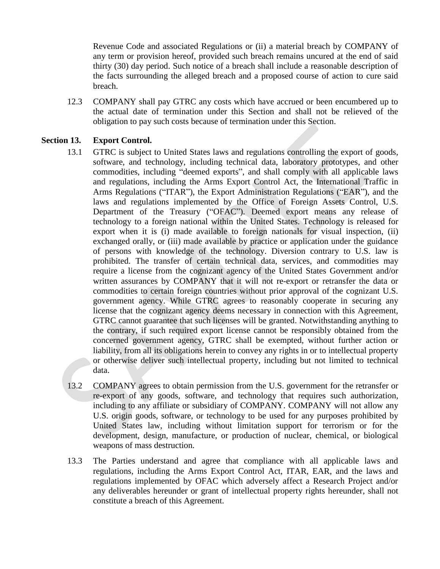Revenue Code and associated Regulations or (ii) a material breach by COMPANY of any term or provision hereof, provided such breach remains uncured at the end of said thirty (30) day period. Such notice of a breach shall include a reasonable description of the facts surrounding the alleged breach and a proposed course of action to cure said breach.

12.3 COMPANY shall pay GTRC any costs which have accrued or been encumbered up to the actual date of termination under this Section and shall not be relieved of the obligation to pay such costs because of termination under this Section.

### **Section 13. Export Control.**

- 13.1 GTRC is subject to United States laws and regulations controlling the export of goods, software, and technology, including technical data, laboratory prototypes, and other commodities, including "deemed exports", and shall comply with all applicable laws and regulations, including the Arms Export Control Act, the International Traffic in Arms Regulations ("ITAR"), the Export Administration Regulations ("EAR"), and the laws and regulations implemented by the Office of Foreign Assets Control, U.S. Department of the Treasury ("OFAC"). Deemed export means any release of technology to a foreign national within the United States. Technology is released for export when it is (i) made available to foreign nationals for visual inspection, (ii) exchanged orally, or (iii) made available by practice or application under the guidance of persons with knowledge of the technology. Diversion contrary to U.S. law is prohibited. The transfer of certain technical data, services, and commodities may require a license from the cognizant agency of the United States Government and/or written assurances by COMPANY that it will not re-export or retransfer the data or commodities to certain foreign countries without prior approval of the cognizant U.S. government agency. While GTRC agrees to reasonably cooperate in securing any license that the cognizant agency deems necessary in connection with this Agreement, GTRC cannot guarantee that such licenses will be granted. Notwithstanding anything to the contrary, if such required export license cannot be responsibly obtained from the concerned government agency, GTRC shall be exempted, without further action or liability, from all its obligations herein to convey any rights in or to intellectual property or otherwise deliver such intellectual property, including but not limited to technical data.
- 13.2 COMPANY agrees to obtain permission from the U.S. government for the retransfer or re-export of any goods, software, and technology that requires such authorization, including to any affiliate or subsidiary of COMPANY. COMPANY will not allow any U.S. origin goods, software, or technology to be used for any purposes prohibited by United States law, including without limitation support for terrorism or for the development, design, manufacture, or production of nuclear, chemical, or biological weapons of mass destruction.
- 13.3 The Parties understand and agree that compliance with all applicable laws and regulations, including the Arms Export Control Act, ITAR, EAR, and the laws and regulations implemented by OFAC which adversely affect a Research Project and/or any deliverables hereunder or grant of intellectual property rights hereunder, shall not constitute a breach of this Agreement.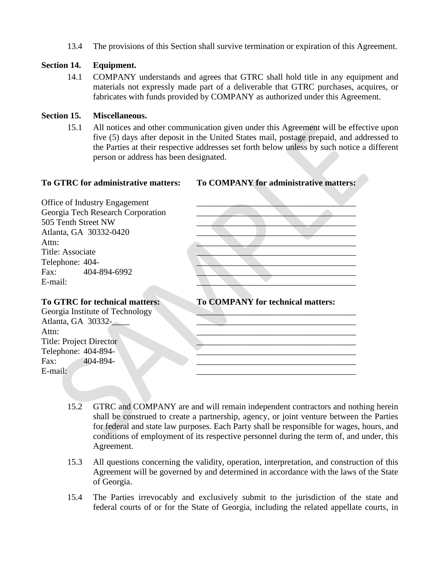13.4 The provisions of this Section shall survive termination or expiration of this Agreement.

### **Section 14. Equipment.**

14.1 COMPANY understands and agrees that GTRC shall hold title in any equipment and materials not expressly made part of a deliverable that GTRC purchases, acquires, or fabricates with funds provided by COMPANY as authorized under this Agreement.

### **Section 15. Miscellaneous.**

15.1 All notices and other communication given under this Agreement will be effective upon five (5) days after deposit in the United States mail, postage prepaid, and addressed to the Parties at their respective addresses set forth below unless by such notice a different person or address has been designated.

**To GTRC for administrative matters: To COMPANY for administrative matters:**

Office of Industry Engagement Georgia Tech Research Corporation **Executes Corporation** 505 Tenth Street NW Atlanta, GA 30332-0420 Title: Associate Telephone: 404-Fax: 404-894-6992

Georgia Institute of Technology Atlanta, GA 30332-Title: Project Director Telephone: 404-894-



### **To GTRC for technical matters: To COMPANY for technical matters:**



- 15.2 GTRC and COMPANY are and will remain independent contractors and nothing herein shall be construed to create a partnership, agency, or joint venture between the Parties for federal and state law purposes. Each Party shall be responsible for wages, hours, and conditions of employment of its respective personnel during the term of, and under, this Agreement.
- 15.3 All questions concerning the validity, operation, interpretation, and construction of this Agreement will be governed by and determined in accordance with the laws of the State of Georgia.
- 15.4 The Parties irrevocably and exclusively submit to the jurisdiction of the state and federal courts of or for the State of Georgia, including the related appellate courts, in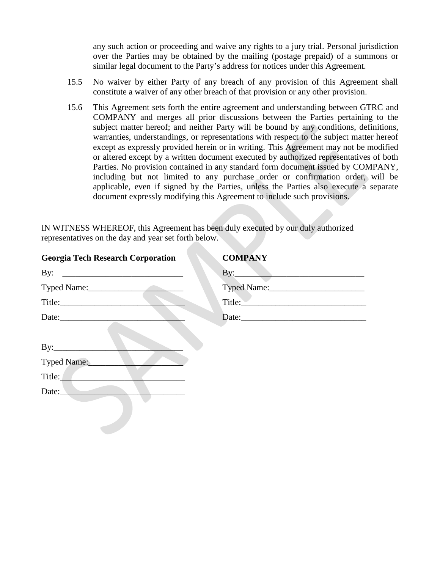any such action or proceeding and waive any rights to a jury trial. Personal jurisdiction over the Parties may be obtained by the mailing (postage prepaid) of a summons or similar legal document to the Party's address for notices under this Agreement.

- 15.5 No waiver by either Party of any breach of any provision of this Agreement shall constitute a waiver of any other breach of that provision or any other provision.
- 15.6 This Agreement sets forth the entire agreement and understanding between GTRC and COMPANY and merges all prior discussions between the Parties pertaining to the subject matter hereof; and neither Party will be bound by any conditions, definitions, warranties, understandings, or representations with respect to the subject matter hereof except as expressly provided herein or in writing. This Agreement may not be modified or altered except by a written document executed by authorized representatives of both Parties. No provision contained in any standard form document issued by COMPANY, including but not limited to any purchase order or confirmation order, will be applicable, even if signed by the Parties, unless the Parties also execute a separate document expressly modifying this Agreement to include such provisions.

IN WITNESS WHEREOF, this Agreement has been duly executed by our duly authorized representatives on the day and year set forth below.

| <b>Georgia Tech Research Corporation</b> | <b>COMPANY</b>                                                                                                                                                                                                                 |
|------------------------------------------|--------------------------------------------------------------------------------------------------------------------------------------------------------------------------------------------------------------------------------|
|                                          | By: and the set of the set of the set of the set of the set of the set of the set of the set of the set of the set of the set of the set of the set of the set of the set of the set of the set of the set of the set of the s |
| Typed Name:                              |                                                                                                                                                                                                                                |
|                                          | Title:                                                                                                                                                                                                                         |
|                                          |                                                                                                                                                                                                                                |
| By:<br>Typed Name:<br>Title:<br>Date:    |                                                                                                                                                                                                                                |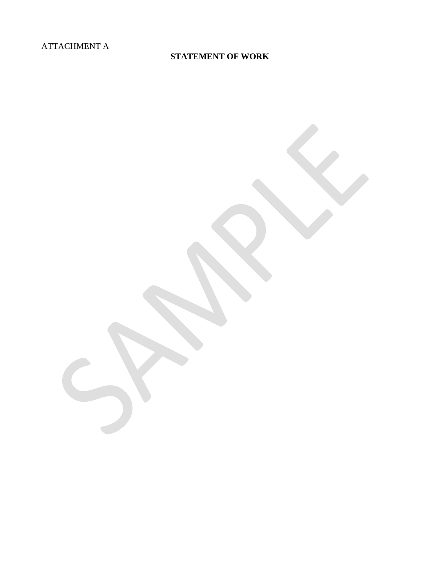# ATTACHMENT A

# **STATEMENT OF WORK**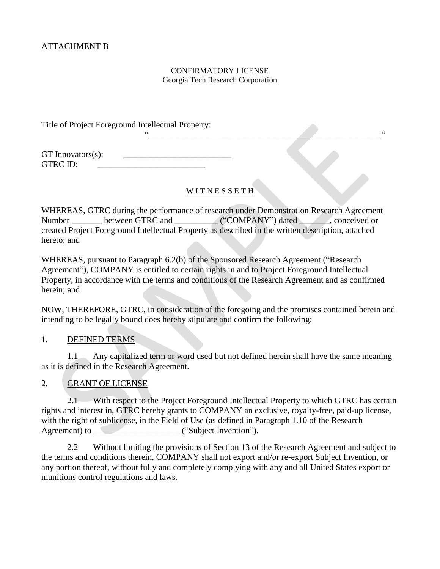### CONFIRMATORY LICENSE Georgia Tech Research Corporation

Title of Project Foreground Intellectual Property:

GT Innovators $(s)$ : GTRC ID:

# WITNESSETH

"\_\_\_\_\_\_\_\_\_\_\_\_\_\_\_\_\_\_\_\_\_\_\_\_\_\_\_\_\_\_\_\_\_\_\_\_\_\_\_\_\_\_\_\_\_\_\_\_\_\_\_\_\_\_"

WHEREAS, GTRC during the performance of research under Demonstration Research Agreement Number \_\_\_\_\_\_\_ between GTRC and \_\_\_\_\_\_\_\_\_\_ ("COMPANY") dated \_\_\_\_\_\_\_, conceived or created Project Foreground Intellectual Property as described in the written description, attached hereto; and

WHEREAS, pursuant to Paragraph 6.2(b) of the Sponsored Research Agreement ("Research Agreement"), COMPANY is entitled to certain rights in and to Project Foreground Intellectual Property, in accordance with the terms and conditions of the Research Agreement and as confirmed herein; and

NOW, THEREFORE, GTRC, in consideration of the foregoing and the promises contained herein and intending to be legally bound does hereby stipulate and confirm the following:

# 1. DEFINED TERMS

1.1 Any capitalized term or word used but not defined herein shall have the same meaning as it is defined in the Research Agreement.

# 2. GRANT OF LICENSE

2.1 With respect to the Project Foreground Intellectual Property to which GTRC has certain rights and interest in, GTRC hereby grants to COMPANY an exclusive, royalty-free, paid-up license, with the right of sublicense, in the Field of Use (as defined in Paragraph 1.10 of the Research Agreement) to \_\_\_\_\_\_\_\_\_\_\_\_\_\_\_\_\_\_\_\_ ("Subject Invention").

2.2 Without limiting the provisions of Section 13 of the Research Agreement and subject to the terms and conditions therein, COMPANY shall not export and/or re-export Subject Invention, or any portion thereof, without fully and completely complying with any and all United States export or munitions control regulations and laws.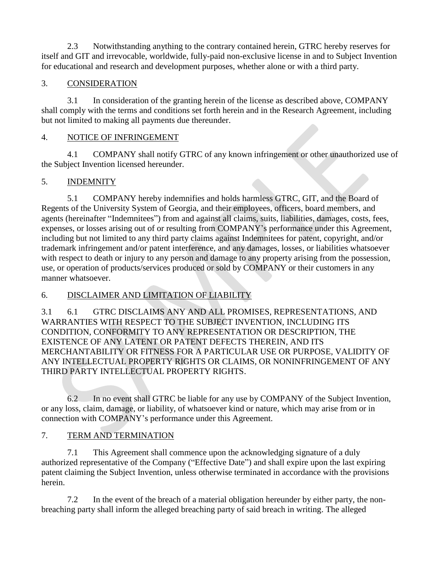2.3 Notwithstanding anything to the contrary contained herein, GTRC hereby reserves for itself and GIT and irrevocable, worldwide, fully-paid non-exclusive license in and to Subject Invention for educational and research and development purposes, whether alone or with a third party.

# 3. CONSIDERATION

3.1 In consideration of the granting herein of the license as described above, COMPANY shall comply with the terms and conditions set forth herein and in the Research Agreement, including but not limited to making all payments due thereunder.

# 4. NOTICE OF INFRINGEMENT

4.1 COMPANY shall notify GTRC of any known infringement or other unauthorized use of the Subject Invention licensed hereunder.

# 5. INDEMNITY

5.1 COMPANY hereby indemnifies and holds harmless GTRC, GIT, and the Board of Regents of the University System of Georgia, and their employees, officers, board members, and agents (hereinafter "Indemnitees") from and against all claims, suits, liabilities, damages, costs, fees, expenses, or losses arising out of or resulting from COMPANY's performance under this Agreement, including but not limited to any third party claims against Indemnitees for patent, copyright, and/or trademark infringement and/or patent interference, and any damages, losses, or liabilities whatsoever with respect to death or injury to any person and damage to any property arising from the possession, use, or operation of products/services produced or sold by COMPANY or their customers in any manner whatsoever.

# 6. DISCLAIMER AND LIMITATION OF LIABILITY

3.1 6.1 GTRC DISCLAIMS ANY AND ALL PROMISES, REPRESENTATIONS, AND WARRANTIES WITH RESPECT TO THE SUBJECT INVENTION, INCLUDING ITS CONDITION, CONFORMITY TO ANY REPRESENTATION OR DESCRIPTION, THE EXISTENCE OF ANY LATENT OR PATENT DEFECTS THEREIN, AND ITS MERCHANTABILITY OR FITNESS FOR A PARTICULAR USE OR PURPOSE, VALIDITY OF ANY INTELLECTUAL PROPERTY RIGHTS OR CLAIMS, OR NONINFRINGEMENT OF ANY THIRD PARTY INTELLECTUAL PROPERTY RIGHTS.

6.2 In no event shall GTRC be liable for any use by COMPANY of the Subject Invention, or any loss, claim, damage, or liability, of whatsoever kind or nature, which may arise from or in connection with COMPANY's performance under this Agreement.

# 7. TERM AND TERMINATION

7.1 This Agreement shall commence upon the acknowledging signature of a duly authorized representative of the Company ("Effective Date") and shall expire upon the last expiring patent claiming the Subject Invention, unless otherwise terminated in accordance with the provisions herein.

7.2 In the event of the breach of a material obligation hereunder by either party, the nonbreaching party shall inform the alleged breaching party of said breach in writing. The alleged